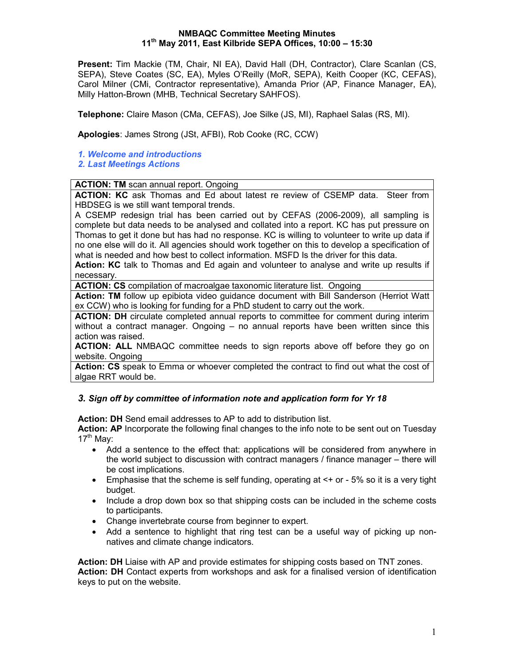### NMBAQC Committee Meeting Minutes 11th May 2011, East Kilbride SEPA Offices, 10:00 – 15:30

Present: Tim Mackie (TM, Chair, NI EA), David Hall (DH, Contractor), Clare Scanlan (CS, SEPA), Steve Coates (SC, EA), Myles O'Reilly (MoR, SEPA), Keith Cooper (KC, CEFAS), Carol Milner (CMi, Contractor representative), Amanda Prior (AP, Finance Manager, EA), Milly Hatton-Brown (MHB, Technical Secretary SAHFOS).

Telephone: Claire Mason (CMa, CEFAS), Joe Silke (JS, MI), Raphael Salas (RS, MI).

Apologies: James Strong (JSt, AFBI), Rob Cooke (RC, CCW)

- 1. Welcome and introductions
- 2. Last Meetings Actions

**ACTION: TM** scan annual report. Ongoing

ACTION: KC ask Thomas and Ed about latest re review of CSEMP data. Steer from HBDSEG is we still want temporal trends.

A CSEMP redesign trial has been carried out by CEFAS (2006-2009), all sampling is complete but data needs to be analysed and collated into a report. KC has put pressure on Thomas to get it done but has had no response. KC is willing to volunteer to write up data if no one else will do it. All agencies should work together on this to develop a specification of what is needed and how best to collect information. MSFD Is the driver for this data.

Action: KC talk to Thomas and Ed again and volunteer to analyse and write up results if necessary.

ACTION: CS compilation of macroalgae taxonomic literature list. Ongoing

Action: TM follow up epibiota video guidance document with Bill Sanderson (Herriot Watt ex CCW) who is looking for funding for a PhD student to carry out the work.

ACTION: DH circulate completed annual reports to committee for comment during interim without a contract manager. Ongoing – no annual reports have been written since this action was raised.

ACTION: ALL NMBAQC committee needs to sign reports above off before they go on website. Ongoing

Action: CS speak to Emma or whoever completed the contract to find out what the cost of algae RRT would be.

# 3. Sign off by committee of information note and application form for Yr 18

Action: DH Send email addresses to AP to add to distribution list.

Action: AP Incorporate the following final changes to the info note to be sent out on Tuesday  $17<sup>th</sup>$  May:

- Add a sentence to the effect that: applications will be considered from anywhere in the world subject to discussion with contract managers / finance manager – there will be cost implications.
- Emphasise that the scheme is self funding, operating at  $\leq$  + or 5% so it is a very tight budget.
- Include a drop down box so that shipping costs can be included in the scheme costs to participants.
- Change invertebrate course from beginner to expert.
- Add a sentence to highlight that ring test can be a useful way of picking up nonnatives and climate change indicators.

Action: DH Liaise with AP and provide estimates for shipping costs based on TNT zones. Action: DH Contact experts from workshops and ask for a finalised version of identification keys to put on the website.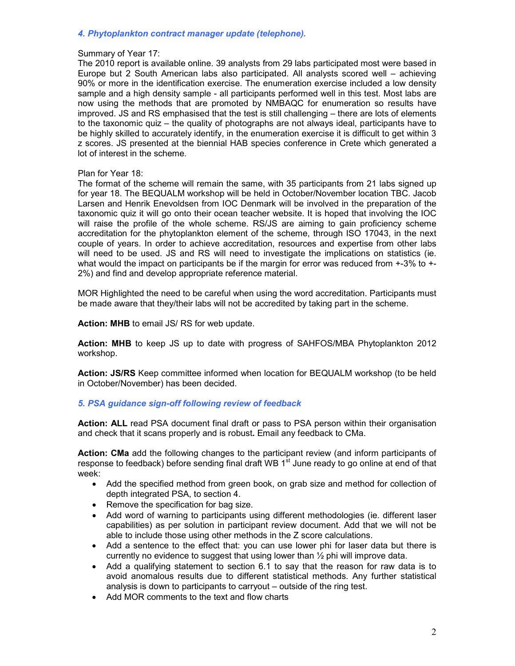## 4. Phytoplankton contract manager update (telephone).

#### Summary of Year 17:

The 2010 report is available online. 39 analysts from 29 labs participated most were based in Europe but 2 South American labs also participated. All analysts scored well – achieving 90% or more in the identification exercise. The enumeration exercise included a low density sample and a high density sample - all participants performed well in this test. Most labs are now using the methods that are promoted by NMBAQC for enumeration so results have improved. JS and RS emphasised that the test is still challenging – there are lots of elements to the taxonomic quiz – the quality of photographs are not always ideal, participants have to be highly skilled to accurately identify, in the enumeration exercise it is difficult to get within 3 z scores. JS presented at the biennial HAB species conference in Crete which generated a lot of interest in the scheme.

### Plan for Year 18:

The format of the scheme will remain the same, with 35 participants from 21 labs signed up for year 18. The BEQUALM workshop will be held in October/November location TBC. Jacob Larsen and Henrik Enevoldsen from IOC Denmark will be involved in the preparation of the taxonomic quiz it will go onto their ocean teacher website. It is hoped that involving the IOC will raise the profile of the whole scheme. RS/JS are aiming to gain proficiency scheme accreditation for the phytoplankton element of the scheme, through ISO 17043, in the next couple of years. In order to achieve accreditation, resources and expertise from other labs will need to be used. JS and RS will need to investigate the implications on statistics (ie. what would the impact on participants be if the margin for error was reduced from  $+3\%$  to  $+$ 2%) and find and develop appropriate reference material.

MOR Highlighted the need to be careful when using the word accreditation. Participants must be made aware that they/their labs will not be accredited by taking part in the scheme.

Action: MHB to email JS/ RS for web update.

Action: MHB to keep JS up to date with progress of SAHFOS/MBA Phytoplankton 2012 workshop.

Action: JS/RS Keep committee informed when location for BEQUALM workshop (to be held in October/November) has been decided.

### 5. PSA guidance sign-off following review of feedback

Action: ALL read PSA document final draft or pass to PSA person within their organisation and check that it scans properly and is robust. Email any feedback to CMa.

Action: CMa add the following changes to the participant review (and inform participants of response to feedback) before sending final draft WB 1<sup>st</sup> June ready to go online at end of that week:

- Add the specified method from green book, on grab size and method for collection of depth integrated PSA, to section 4.
- Remove the specification for bag size.
- Add word of warning to participants using different methodologies (ie. different laser capabilities) as per solution in participant review document. Add that we will not be able to include those using other methods in the Z score calculations.
- Add a sentence to the effect that: you can use lower phi for laser data but there is currently no evidence to suggest that using lower than ½ phi will improve data.
- Add a qualifying statement to section 6.1 to say that the reason for raw data is to avoid anomalous results due to different statistical methods. Any further statistical analysis is down to participants to carryout – outside of the ring test.
- Add MOR comments to the text and flow charts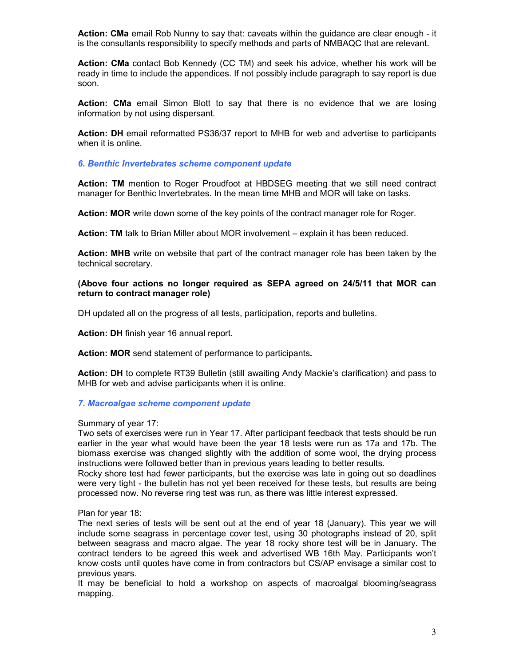Action: CMa email Rob Nunny to say that: caveats within the guidance are clear enough - it is the consultants responsibility to specify methods and parts of NMBAQC that are relevant.

Action: CMa contact Bob Kennedy (CC TM) and seek his advice, whether his work will be ready in time to include the appendices. If not possibly include paragraph to say report is due soon.

Action: CMa email Simon Blott to say that there is no evidence that we are losing information by not using dispersant.

Action: DH email reformatted PS36/37 report to MHB for web and advertise to participants when it is online.

6. Benthic Invertebrates scheme component update

Action: TM mention to Roger Proudfoot at HBDSEG meeting that we still need contract manager for Benthic Invertebrates. In the mean time MHB and MOR will take on tasks.

Action: MOR write down some of the key points of the contract manager role for Roger.

Action: TM talk to Brian Miller about MOR involvement – explain it has been reduced.

Action: MHB write on website that part of the contract manager role has been taken by the technical secretary.

### (Above four actions no longer required as SEPA agreed on 24/5/11 that MOR can return to contract manager role)

DH updated all on the progress of all tests, participation, reports and bulletins.

Action: DH finish year 16 annual report.

Action: MOR send statement of performance to participants.

Action: DH to complete RT39 Bulletin (still awaiting Andy Mackie's clarification) and pass to MHB for web and advise participants when it is online.

#### 7. Macroalgae scheme component update

#### Summary of year 17:

Two sets of exercises were run in Year 17. After participant feedback that tests should be run earlier in the year what would have been the year 18 tests were run as 17a and 17b. The biomass exercise was changed slightly with the addition of some wool, the drying process instructions were followed better than in previous years leading to better results.

Rocky shore test had fewer participants, but the exercise was late in going out so deadlines were very tight - the bulletin has not yet been received for these tests, but results are being processed now. No reverse ring test was run, as there was little interest expressed.

Plan for year 18:

The next series of tests will be sent out at the end of year 18 (January). This year we will include some seagrass in percentage cover test, using 30 photographs instead of 20, split between seagrass and macro algae. The year 18 rocky shore test will be in January. The contract tenders to be agreed this week and advertised WB 16th May. Participants won't know costs until quotes have come in from contractors but CS/AP envisage a similar cost to previous years.

It may be beneficial to hold a workshop on aspects of macroalgal blooming/seagrass mapping.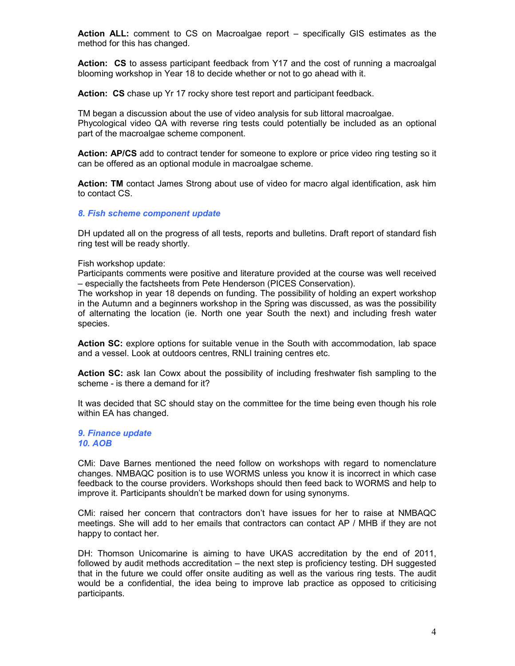Action ALL: comment to CS on Macroalgae report – specifically GIS estimates as the method for this has changed.

Action: CS to assess participant feedback from Y17 and the cost of running a macroalgal blooming workshop in Year 18 to decide whether or not to go ahead with it.

Action: CS chase up Yr 17 rocky shore test report and participant feedback.

TM began a discussion about the use of video analysis for sub littoral macroalgae. Phycological video QA with reverse ring tests could potentially be included as an optional part of the macroalgae scheme component.

Action: AP/CS add to contract tender for someone to explore or price video ring testing so it can be offered as an optional module in macroalgae scheme.

Action: TM contact James Strong about use of video for macro algal identification, ask him to contact CS.

#### 8. Fish scheme component update

DH updated all on the progress of all tests, reports and bulletins. Draft report of standard fish ring test will be ready shortly.

Fish workshop update:

Participants comments were positive and literature provided at the course was well received – especially the factsheets from Pete Henderson (PICES Conservation).

The workshop in year 18 depends on funding. The possibility of holding an expert workshop in the Autumn and a beginners workshop in the Spring was discussed, as was the possibility of alternating the location (ie. North one year South the next) and including fresh water species.

Action SC: explore options for suitable venue in the South with accommodation, lab space and a vessel. Look at outdoors centres, RNLI training centres etc.

Action SC: ask Ian Cowx about the possibility of including freshwater fish sampling to the scheme - is there a demand for it?

It was decided that SC should stay on the committee for the time being even though his role within EA has changed.

9. Finance update 10. AOB

CMi: Dave Barnes mentioned the need follow on workshops with regard to nomenclature changes. NMBAQC position is to use WORMS unless you know it is incorrect in which case feedback to the course providers. Workshops should then feed back to WORMS and help to improve it. Participants shouldn't be marked down for using synonyms.

CMi: raised her concern that contractors don't have issues for her to raise at NMBAQC meetings. She will add to her emails that contractors can contact AP / MHB if they are not happy to contact her.

DH: Thomson Unicomarine is aiming to have UKAS accreditation by the end of 2011, followed by audit methods accreditation – the next step is proficiency testing. DH suggested that in the future we could offer onsite auditing as well as the various ring tests. The audit would be a confidential, the idea being to improve lab practice as opposed to criticising participants.